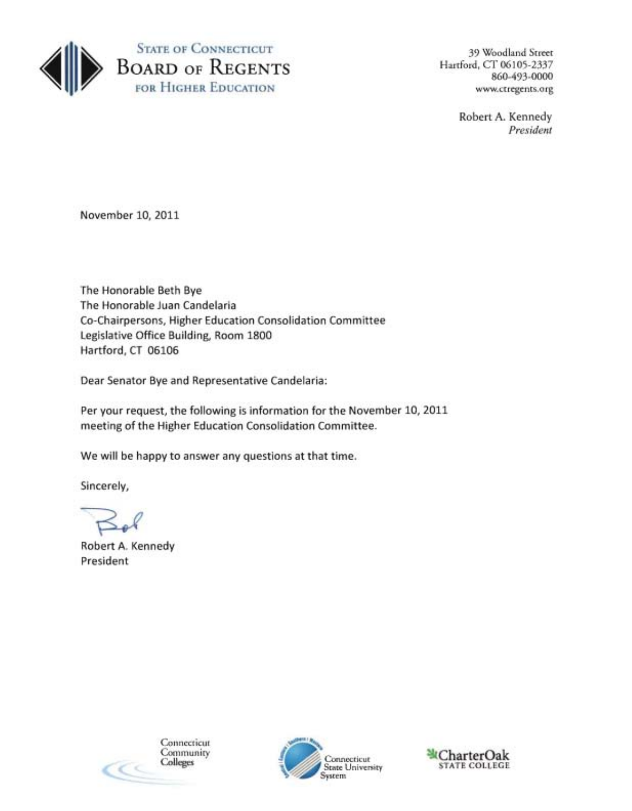

860-493-0000

Robert A. Kennedy *President* 

November 10, 2011

The Honorable Beth Bye The Honorable Juan Candelaria Co-Chairpersons, Higher Education Consolidation Committee Legislative Office Building, Room 1800 Hartford, CT 06106

Dear Senator Bye and Representative Candelaria:

Per your request, the following is information for the November 10, 2011 meeting of the Higher Education Consolidation Committee.

We will be happy to answer any questions at that time.

Sincerely,

Robert A. Kennedy President



Community Connecticut STATE COLLEGE System

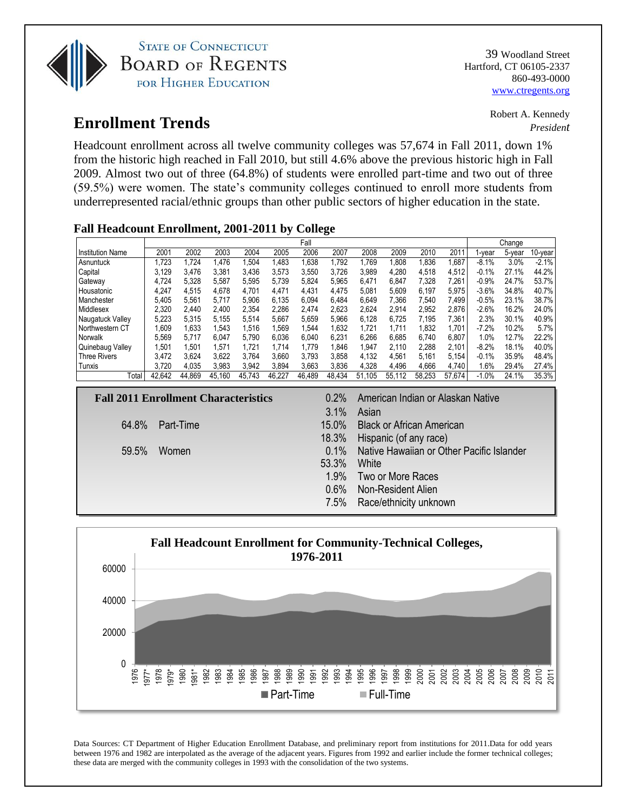

**STATE OF CONNECTICUT BOARD OF REGENTS** FOR HIGHER EDUCATION

# Robert A. Kennedy

## **Enrollment Trends** *President*

Headcount enrollment across all twelve community colleges was 57,674 in Fall 2011, down 1% from the historic high reached in Fall 2010, but still 4.6% above the previous historic high in Fall 2009. Almost two out of three (64.8%) of students were enrolled part-time and two out of three (59.5%) were women. The state's community colleges continued to enroll more students from underrepresented racial/ethnic groups than other public sectors of higher education in the state.

#### **Fall Headcount Enrollment, 2001-2011 by College**

|                         | Fall   |        |        |        |        |        |        |        | Change |        |        |         |        |         |
|-------------------------|--------|--------|--------|--------|--------|--------|--------|--------|--------|--------|--------|---------|--------|---------|
| <b>Institution Name</b> | 2001   | 2002   | 2003   | 2004   | 2005   | 2006   | 2007   | 2008   | 2009   | 2010   | 2011   | l-year  | 5-year | 10-year |
| Asnuntuck               | .723   | 1.724  | 1.476  | .504   | 1,483  | .638   | .792   | .769   | .808   | 0.836  | .687   | $-8.1%$ | 3.0%   | $-2.1%$ |
| Capital                 | 3.129  | 3.476  | 3,381  | 3.436  | 3,573  | 3.550  | 3.726  | 3.989  | 4,280  | 4,518  | 4.512  | $-0.1%$ | 27.1%  | 44.2%   |
| Gateway                 | 4.724  | 5,328  | 5,587  | 5.595  | 5,739  | 5.824  | 5.965  | 6.471  | 6.847  | 7,328  | 7.261  | $-0.9%$ | 24.7%  | 53.7%   |
| Housatonic              | 4.247  | 4.515  | 4.678  | 4.701  | 4.471  | 4.431  | 4.475  | 5.081  | 5.609  | 6.197  | 5.975  | $-3.6%$ | 34.8%  | 40.7%   |
| Manchester              | 5.405  | 5.561  | 5,717  | 5.906  | 6,135  | 6.094  | 6,484  | 6,649  | 7,366  | 7,540  | 7.499  | $-0.5%$ | 23.1%  | 38.7%   |
| Middlesex               | 2.320  | 2.440  | 2.400  | 2.354  | 2.286  | 2.474  | 2.623  | 2.624  | 2.914  | 2.952  | 2.876  | $-2.6%$ | 16.2%  | 24.0%   |
| Naugatuck Valley        | 5,223  | 5.315  | 5.155  | 5.514  | 5.667  | 5.659  | 5.966  | 6,128  | 6.725  | 7.195  | 7,361  | 2.3%    | 30.1%  | 40.9%   |
| Northwestern CT         | .609   | 1.633  | 1.543  | .516   | 1.569  | .544   | 1,632  | .721   | 1.711  | .832   | 1.701  | $-7.2%$ | 10.2%  | 5.7%    |
| Norwalk                 | 5.569  | 5.717  | 6.047  | 5.790  | 6,036  | 6.040  | 6.231  | 6.266  | 6.685  | 6.740  | 6,807  | 1.0%    | 12.7%  | 22.2%   |
| Quinebaug Valley        | ,501   | 1.501  | 1.571  | 1.721  | 1.714  | 1.779  | 1.846  | 1,947  | 2.110  | 2,288  | 2.101  | $-8.2%$ | 18.1%  | 40.0%   |
| <b>Three Rivers</b>     | 3.472  | 3,624  | 3,622  | 3.764  | 3,660  | 3.793  | 3,858  | 4,132  | 4,561  | 5.161  | 5,154  | $-0.1%$ | 35.9%  | 48.4%   |
| Tunxis                  | 3.720  | 4.035  | 3,983  | 3.942  | 3,894  | 3.663  | 3,836  | 4,328  | 4.496  | 4,666  | 4,740  | 1.6%    | 29.4%  | 27.4%   |
| Total                   | 42,642 | 44.869 | 45,160 | 45,743 | 46,227 | 46,489 | 48,434 | 51,105 | 55.112 | 58,253 | 57,674 | $-1.0%$ | 24.1%  | 35.3%   |

| $3.1\%$<br>Asian<br>15.0% Black or African American<br>64.8% Part-Time<br>18.3% Hispanic (of any race)<br>0.1% Native Hawaiian or Other Pacific Islander<br>59.5%<br>Women<br>53.3% White<br>1.9% Two or More Races<br>0.6% Non-Resident Alien<br>7.5% Race/ethnicity unknown | <b>Fall 2011 Enrollment Characteristics</b> |  | 0.2% American Indian or Alaskan Native |
|-------------------------------------------------------------------------------------------------------------------------------------------------------------------------------------------------------------------------------------------------------------------------------|---------------------------------------------|--|----------------------------------------|
|                                                                                                                                                                                                                                                                               |                                             |  |                                        |
|                                                                                                                                                                                                                                                                               |                                             |  |                                        |
|                                                                                                                                                                                                                                                                               |                                             |  |                                        |
|                                                                                                                                                                                                                                                                               |                                             |  |                                        |
|                                                                                                                                                                                                                                                                               |                                             |  |                                        |
|                                                                                                                                                                                                                                                                               |                                             |  |                                        |
|                                                                                                                                                                                                                                                                               |                                             |  |                                        |
|                                                                                                                                                                                                                                                                               |                                             |  |                                        |



Data Sources: CT Department of Higher Education Enrollment Database, and preliminary report from institutions for 2011.Data for odd years between 1976 and 1982 are interpolated as the average of the adjacent years. Figures from 1992 and earlier include the former technical colleges; these data are merged with the community colleges in 1993 with the consolidation of the two systems.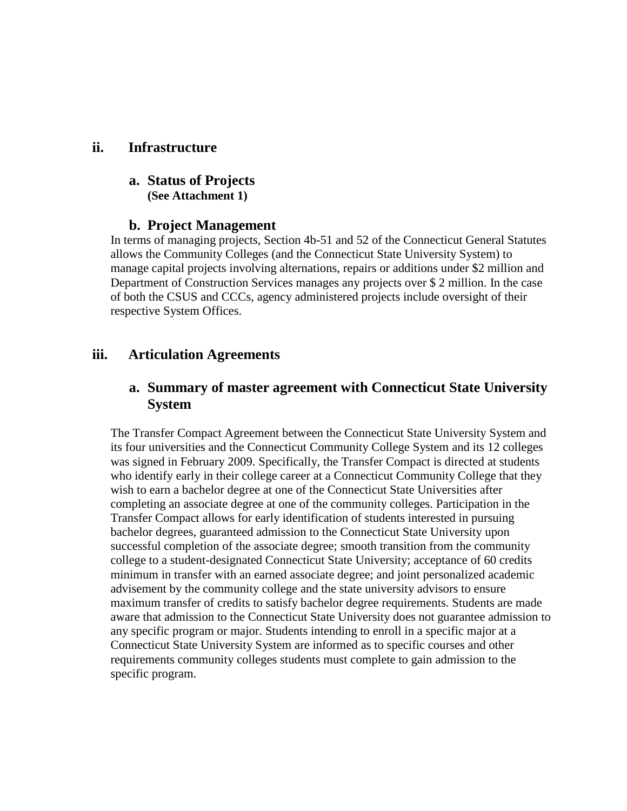#### **ii. Infrastructure**

#### **a. Status of Projects (See Attachment 1)**

#### **b. Project Management**

In terms of managing projects, Section 4b-51 and 52 of the Connecticut General Statutes allows the Community Colleges (and the Connecticut State University System) to manage capital projects involving alternations, repairs or additions under \$2 million and Department of Construction Services manages any projects over \$ 2 million. In the case of both the CSUS and CCCs, agency administered projects include oversight of their respective System Offices.

### **iii. Articulation Agreements**

### **a. Summary of master agreement with Connecticut State University System**

The Transfer Compact Agreement between the Connecticut State University System and its four universities and the Connecticut Community College System and its 12 colleges was signed in February 2009. Specifically, the Transfer Compact is directed at students who identify early in their college career at a Connecticut Community College that they wish to earn a bachelor degree at one of the Connecticut State Universities after completing an associate degree at one of the community colleges. Participation in the Transfer Compact allows for early identification of students interested in pursuing bachelor degrees, guaranteed admission to the Connecticut State University upon successful completion of the associate degree; smooth transition from the community college to a student-designated Connecticut State University; acceptance of 60 credits minimum in transfer with an earned associate degree; and joint personalized academic advisement by the community college and the state university advisors to ensure maximum transfer of credits to satisfy bachelor degree requirements. Students are made aware that admission to the Connecticut State University does not guarantee admission to any specific program or major. Students intending to enroll in a specific major at a Connecticut State University System are informed as to specific courses and other requirements community colleges students must complete to gain admission to the specific program.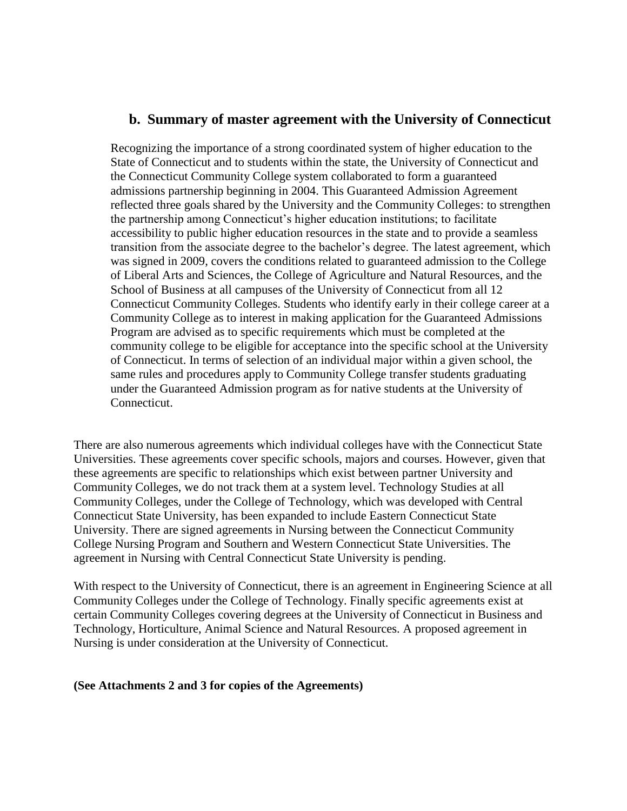#### **b. Summary of master agreement with the University of Connecticut**

Recognizing the importance of a strong coordinated system of higher education to the State of Connecticut and to students within the state, the University of Connecticut and the Connecticut Community College system collaborated to form a guaranteed admissions partnership beginning in 2004. This Guaranteed Admission Agreement reflected three goals shared by the University and the Community Colleges: to strengthen the partnership among Connecticut's higher education institutions; to facilitate accessibility to public higher education resources in the state and to provide a seamless transition from the associate degree to the bachelor's degree. The latest agreement, which was signed in 2009, covers the conditions related to guaranteed admission to the College of Liberal Arts and Sciences, the College of Agriculture and Natural Resources, and the School of Business at all campuses of the University of Connecticut from all 12 Connecticut Community Colleges. Students who identify early in their college career at a Community College as to interest in making application for the Guaranteed Admissions Program are advised as to specific requirements which must be completed at the community college to be eligible for acceptance into the specific school at the University of Connecticut. In terms of selection of an individual major within a given school, the same rules and procedures apply to Community College transfer students graduating under the Guaranteed Admission program as for native students at the University of Connecticut.

There are also numerous agreements which individual colleges have with the Connecticut State Universities. These agreements cover specific schools, majors and courses. However, given that these agreements are specific to relationships which exist between partner University and Community Colleges, we do not track them at a system level. Technology Studies at all Community Colleges, under the College of Technology, which was developed with Central Connecticut State University, has been expanded to include Eastern Connecticut State University. There are signed agreements in Nursing between the Connecticut Community College Nursing Program and Southern and Western Connecticut State Universities. The agreement in Nursing with Central Connecticut State University is pending.

With respect to the University of Connecticut, there is an agreement in Engineering Science at all Community Colleges under the College of Technology. Finally specific agreements exist at certain Community Colleges covering degrees at the University of Connecticut in Business and Technology, Horticulture, Animal Science and Natural Resources. A proposed agreement in Nursing is under consideration at the University of Connecticut.

#### **(See Attachments 2 and 3 for copies of the Agreements)**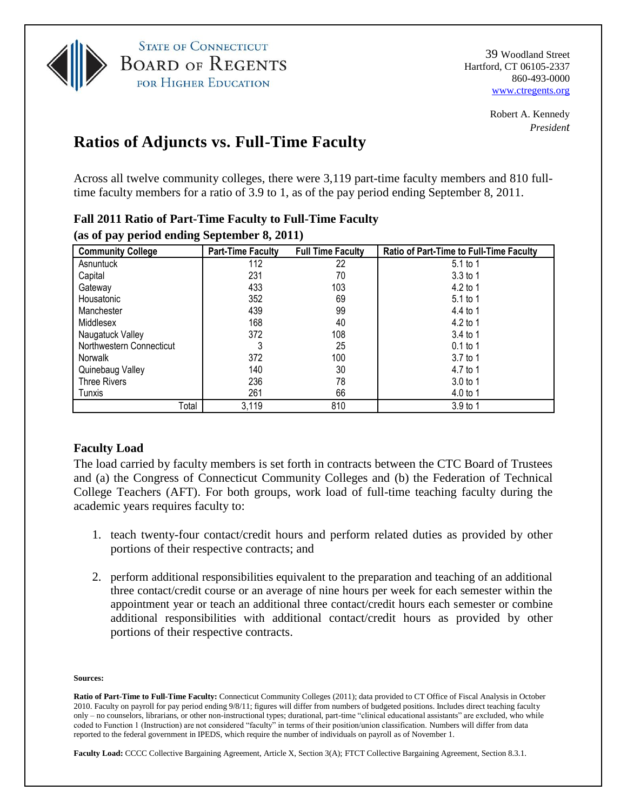

**STATE OF CONNECTICUT BOARD OF REGENTS** FOR HIGHER EDUCATION

39 Woodland Street Hartford, CT 06105-2337 860-493-0000 www.ctregents.org

> Robert A. Kennedy *President*

# **Ratios of Adjuncts vs. Full-Time Faculty**

Across all twelve community colleges, there were 3,119 part-time faculty members and 810 fulltime faculty members for a ratio of 3.9 to 1, as of the pay period ending September 8, 2011.

| as of pay perfourchang beptended $\sigma$ , 2011) |                          |                          |                                                |  |  |  |  |  |
|---------------------------------------------------|--------------------------|--------------------------|------------------------------------------------|--|--|--|--|--|
| <b>Community College</b>                          | <b>Part-Time Faculty</b> | <b>Full Time Faculty</b> | <b>Ratio of Part-Time to Full-Time Faculty</b> |  |  |  |  |  |
| Asnuntuck                                         | 112                      | 22                       | 5.1 to 1                                       |  |  |  |  |  |
| Capital                                           | 231                      | 70                       | $3.3$ to 1                                     |  |  |  |  |  |
| Gateway                                           | 433                      | 103                      | 4.2 to 1                                       |  |  |  |  |  |
| Housatonic                                        | 352                      | 69                       | $5.1$ to 1                                     |  |  |  |  |  |
| Manchester                                        | 439                      | 99                       | 4.4 to 1                                       |  |  |  |  |  |
| Middlesex                                         | 168                      | 40                       | 4.2 to 1                                       |  |  |  |  |  |
| Naugatuck Valley                                  | 372                      | 108                      | $3.4$ to 1                                     |  |  |  |  |  |
| Northwestern Connecticut                          |                          | 25                       | $0.1$ to 1                                     |  |  |  |  |  |
| Norwalk                                           | 372                      | 100                      | $3.7$ to 1                                     |  |  |  |  |  |
| Quinebaug Valley                                  | 140                      | 30                       | 4.7 to 1                                       |  |  |  |  |  |
| <b>Three Rivers</b>                               | 236                      | 78                       | 3.0 <sub>to</sub> 1                            |  |  |  |  |  |
| Tunxis                                            | 261                      | 66                       | 4.0 to 1                                       |  |  |  |  |  |
| Total                                             | 3,119                    | 810                      | 3.9 to 1                                       |  |  |  |  |  |

#### **Fall 2011 Ratio of Part-Time Faculty to Full-Time Faculty (as of pay period ending September 8, 2011)**

#### **Faculty Load**

The load carried by faculty members is set forth in contracts between the CTC Board of Trustees and (a) the Congress of Connecticut Community Colleges and (b) the Federation of Technical College Teachers (AFT). For both groups, work load of full-time teaching faculty during the academic years requires faculty to:

- 1. teach twenty-four contact/credit hours and perform related duties as provided by other portions of their respective contracts; and
- 2. perform additional responsibilities equivalent to the preparation and teaching of an additional three contact/credit course or an average of nine hours per week for each semester within the appointment year or teach an additional three contact/credit hours each semester or combine additional responsibilities with additional contact/credit hours as provided by other portions of their respective contracts.

#### **Sources:**

**Ratio of Part-Time to Full-Time Faculty:** Connecticut Community Colleges (2011); data provided to CT Office of Fiscal Analysis in October 2010. Faculty on payroll for pay period ending 9/8/11; figures will differ from numbers of budgeted positions. Includes direct teaching faculty only – no counselors, librarians, or other non-instructional types; durational, part-time "clinical educational assistants" are excluded, who while coded to Function 1 (Instruction) are not considered "faculty" in terms of their position/union classification. Numbers will differ from data reported to the federal government in IPEDS, which require the number of individuals on payroll as of November 1.

**Faculty Load:** CCCC Collective Bargaining Agreement, Article X, Section 3(A); FTCT Collective Bargaining Agreement, Section 8.3.1.